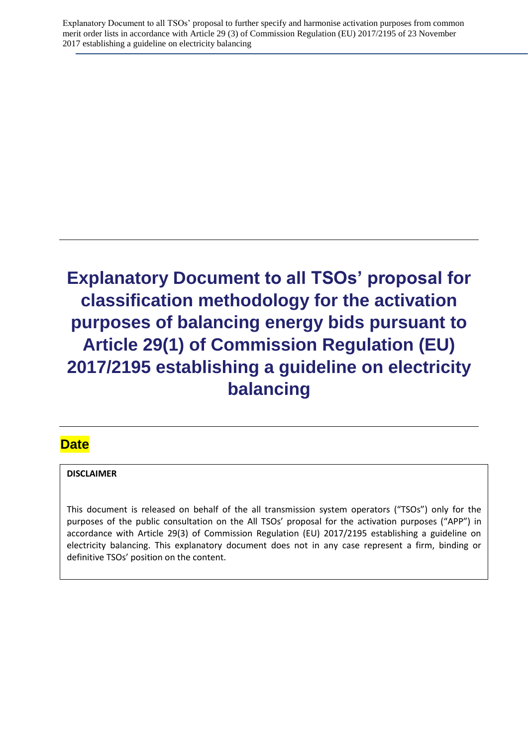Explanatory Document to all TSOs' proposal to further specify and harmonise activation purposes from common merit order lists in accordance with Article 29 (3) of Commission Regulation (EU) 2017/2195 of 23 November 2017 establishing a guideline on electricity balancing

# **Explanatory Document to all TSOs' proposal for classification methodology for the activation purposes of balancing energy bids pursuant to Article 29(1) of Commission Regulation (EU) 2017/2195 establishing a guideline on electricity balancing**

### **Date**

### **DISCLAIMER**

This document is released on behalf of the all transmission system operators ("TSOs") only for the purposes of the public consultation on the All TSOs' proposal for the activation purposes ("APP") in accordance with Article 29(3) of Commission Regulation (EU) 2017/2195 establishing a guideline on electricity balancing. This explanatory document does not in any case represent a firm, binding or definitive TSOs' position on the content.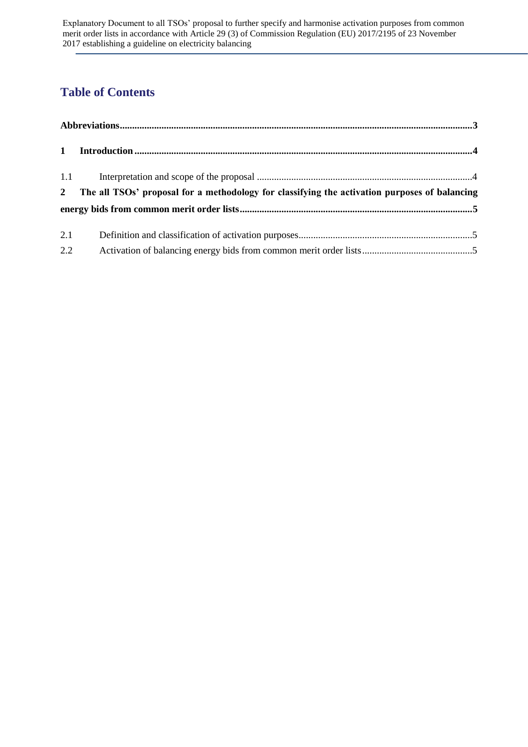# **Table of Contents**

|     | 2 The all TSOs' proposal for a methodology for classifying the activation purposes of balancing |  |
|-----|-------------------------------------------------------------------------------------------------|--|
|     |                                                                                                 |  |
| 2.1 |                                                                                                 |  |
| 2.2 |                                                                                                 |  |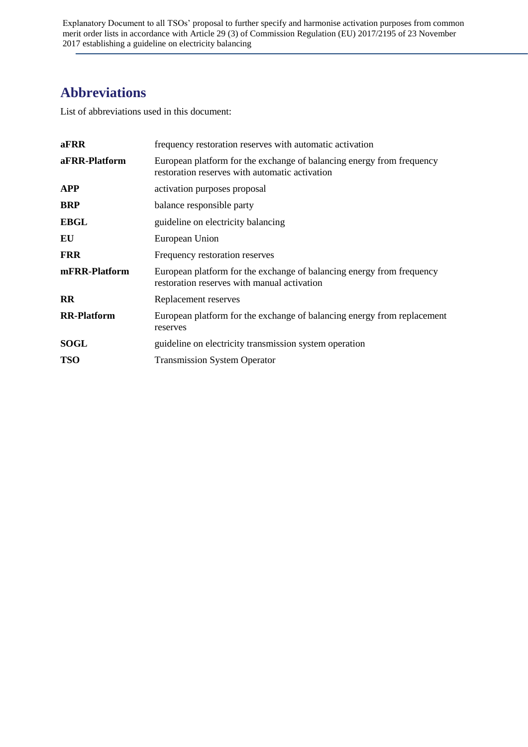Explanatory Document to all TSOs' proposal to further specify and harmonise activation purposes from common merit order lists in accordance with Article 29 (3) of Commission Regulation (EU) 2017/2195 of 23 November 2017 establishing a guideline on electricity balancing

## <span id="page-2-0"></span>**Abbreviations**

List of abbreviations used in this document:

| aFRR               | frequency restoration reserves with automatic activation                                                                |
|--------------------|-------------------------------------------------------------------------------------------------------------------------|
| aFRR-Platform      | European platform for the exchange of balancing energy from frequency<br>restoration reserves with automatic activation |
| <b>APP</b>         | activation purposes proposal                                                                                            |
| <b>BRP</b>         | balance responsible party                                                                                               |
| <b>EBGL</b>        | guideline on electricity balancing                                                                                      |
| EU                 | European Union                                                                                                          |
| <b>FRR</b>         | Frequency restoration reserves                                                                                          |
| mFRR-Platform      | European platform for the exchange of balancing energy from frequency<br>restoration reserves with manual activation    |
| $\mathbf{R}$       | Replacement reserves                                                                                                    |
| <b>RR-Platform</b> | European platform for the exchange of balancing energy from replacement<br>reserves                                     |
| <b>SOGL</b>        | guideline on electricity transmission system operation                                                                  |
| <b>TSO</b>         | <b>Transmission System Operator</b>                                                                                     |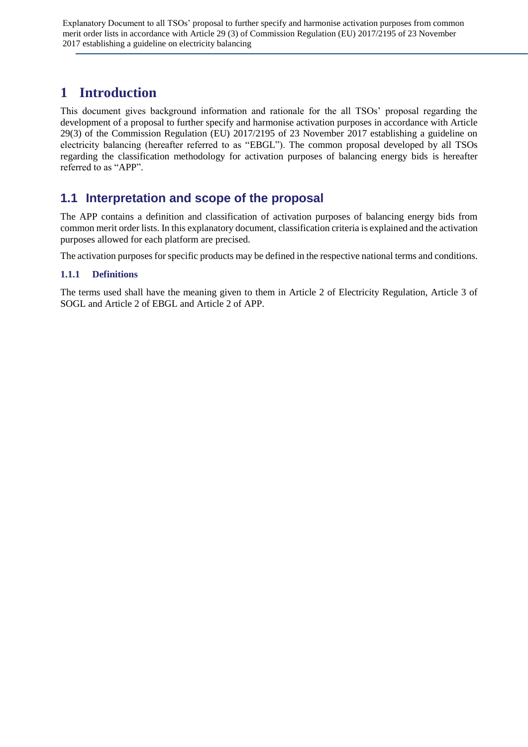Explanatory Document to all TSOs' proposal to further specify and harmonise activation purposes from common merit order lists in accordance with Article 29 (3) of Commission Regulation (EU) 2017/2195 of 23 November 2017 establishing a guideline on electricity balancing

# <span id="page-3-0"></span>**1 Introduction**

This document gives background information and rationale for the all TSOs' proposal regarding the development of a proposal to further specify and harmonise activation purposes in accordance with Article 29(3) of the Commission Regulation (EU) 2017/2195 of 23 November 2017 establishing a guideline on electricity balancing (hereafter referred to as "EBGL"). The common proposal developed by all TSOs regarding the classification methodology for activation purposes of balancing energy bids is hereafter referred to as "APP".

### <span id="page-3-1"></span>**1.1 Interpretation and scope of the proposal**

The APP contains a definition and classification of activation purposes of balancing energy bids from common merit order lists. In this explanatory document, classification criteria is explained and the activation purposes allowed for each platform are precised.

The activation purposes for specific products may be defined in the respective national terms and conditions.

### **1.1.1 Definitions**

The terms used shall have the meaning given to them in Article 2 of Electricity Regulation, Article 3 of SOGL and Article 2 of EBGL and Article 2 of APP.